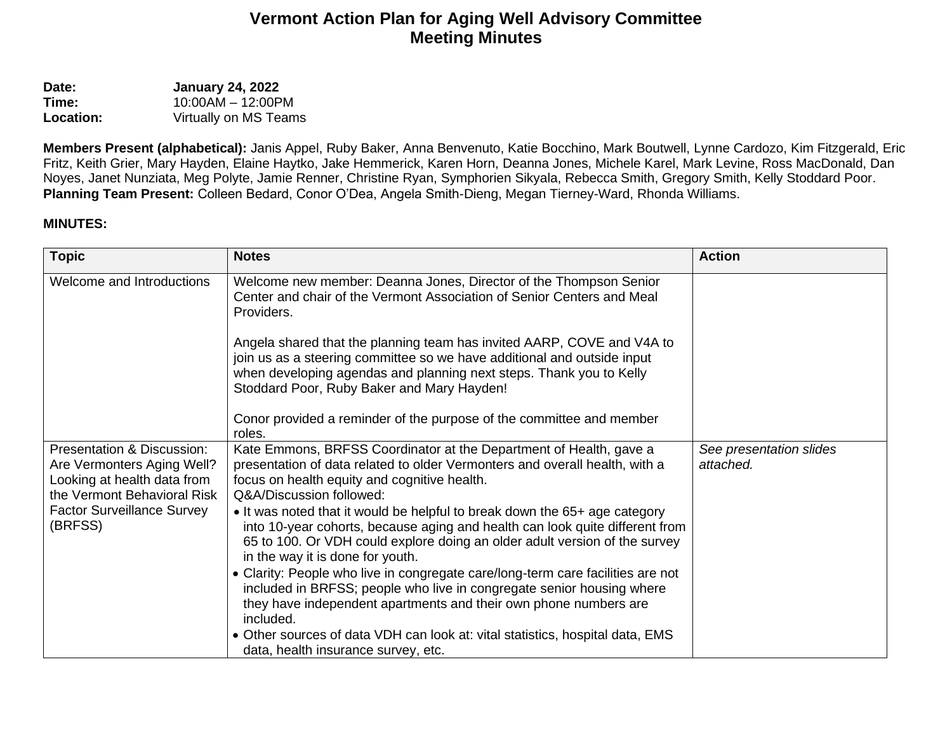## **Vermont Action Plan for Aging Well Advisory Committee Meeting Minutes**

**Date: January 24, 2022**<br>**Time: 10:00AM – 12:00P Time:** 10:00AM – 12:00PM **Location:** Virtually on MS Teams

**Members Present (alphabetical):** Janis Appel, Ruby Baker, Anna Benvenuto, Katie Bocchino, Mark Boutwell, Lynne Cardozo, Kim Fitzgerald, Eric Fritz, Keith Grier, Mary Hayden, Elaine Haytko, Jake Hemmerick, Karen Horn, Deanna Jones, Michele Karel, Mark Levine, Ross MacDonald, Dan Noyes, Janet Nunziata, Meg Polyte, Jamie Renner, Christine Ryan, Symphorien Sikyala, Rebecca Smith, Gregory Smith, Kelly Stoddard Poor. **Planning Team Present:** Colleen Bedard, Conor O'Dea, Angela Smith-Dieng, Megan Tierney-Ward, Rhonda Williams.

## **MINUTES:**

| <b>Topic</b>                                                                                                                                                                      | <b>Notes</b>                                                                                                                                                                                                                                                                                                                                   | <b>Action</b>                        |
|-----------------------------------------------------------------------------------------------------------------------------------------------------------------------------------|------------------------------------------------------------------------------------------------------------------------------------------------------------------------------------------------------------------------------------------------------------------------------------------------------------------------------------------------|--------------------------------------|
| Welcome and Introductions                                                                                                                                                         | Welcome new member: Deanna Jones, Director of the Thompson Senior<br>Center and chair of the Vermont Association of Senior Centers and Meal<br>Providers.                                                                                                                                                                                      |                                      |
|                                                                                                                                                                                   | Angela shared that the planning team has invited AARP, COVE and V4A to<br>join us as a steering committee so we have additional and outside input<br>when developing agendas and planning next steps. Thank you to Kelly<br>Stoddard Poor, Ruby Baker and Mary Hayden!<br>Conor provided a reminder of the purpose of the committee and member |                                      |
|                                                                                                                                                                                   | roles.                                                                                                                                                                                                                                                                                                                                         |                                      |
| <b>Presentation &amp; Discussion:</b><br>Are Vermonters Aging Well?<br>Looking at health data from<br>the Vermont Behavioral Risk<br><b>Factor Surveillance Survey</b><br>(BRFSS) | Kate Emmons, BRFSS Coordinator at the Department of Health, gave a<br>presentation of data related to older Vermonters and overall health, with a<br>focus on health equity and cognitive health.<br>Q&A/Discussion followed:                                                                                                                  | See presentation slides<br>attached. |
|                                                                                                                                                                                   | • It was noted that it would be helpful to break down the 65+ age category<br>into 10-year cohorts, because aging and health can look quite different from<br>65 to 100. Or VDH could explore doing an older adult version of the survey<br>in the way it is done for youth.                                                                   |                                      |
|                                                                                                                                                                                   | • Clarity: People who live in congregate care/long-term care facilities are not<br>included in BRFSS; people who live in congregate senior housing where<br>they have independent apartments and their own phone numbers are<br>included.                                                                                                      |                                      |
|                                                                                                                                                                                   | • Other sources of data VDH can look at: vital statistics, hospital data, EMS<br>data, health insurance survey, etc.                                                                                                                                                                                                                           |                                      |